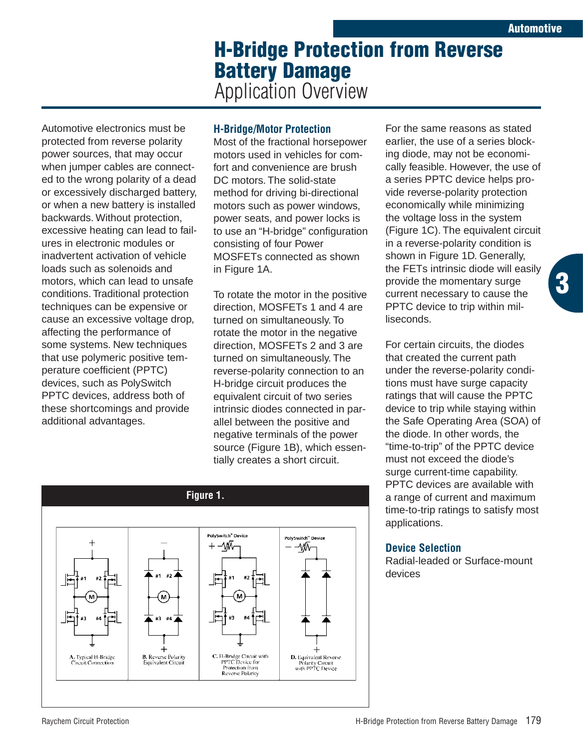**3**

## **H-Bridge Protection from Reverse Battery Damage** Application Overview

Automotive electronics must be protected from reverse polarity power sources, that may occur when jumper cables are connected to the wrong polarity of a dead or excessively discharged battery, or when a new battery is installed backwards. Without protection, excessive heating can lead to failures in electronic modules or inadvertent activation of vehicle loads such as solenoids and motors, which can lead to unsafe conditions. Traditional protection techniques can be expensive or cause an excessive voltage drop, affecting the performance of some systems. New techniques that use polymeric positive temperature coefficient (PPTC) devices, such as PolySwitch PPTC devices, address both of these shortcomings and provide additional advantages.

## **H-Bridge/Motor Protection**

Most of the fractional horsepower motors used in vehicles for comfort and convenience are brush DC motors. The solid-state method for driving bi-directional motors such as power windows, power seats, and power locks is to use an "H-bridge" configuration consisting of four Power MOSFETs connected as shown in Figure 1A.

To rotate the motor in the positive direction, MOSFETs 1 and 4 are turned on simultaneously. To rotate the motor in the negative direction, MOSFETs 2 and 3 are turned on simultaneously. The reverse-polarity connection to an H-bridge circuit produces the equivalent circuit of two series intrinsic diodes connected in parallel between the positive and negative terminals of the power source (Figure 1B), which essentially creates a short circuit.



For the same reasons as stated earlier, the use of a series blocking diode, may not be economically feasible. However, the use of a series PPTC device helps provide reverse-polarity protection economically while minimizing the voltage loss in the system (Figure 1C). The equivalent circuit in a reverse-polarity condition is shown in Figure 1D. Generally, the FETs intrinsic diode will easily provide the momentary surge current necessary to cause the PPTC device to trip within milliseconds.

For certain circuits, the diodes that created the current path under the reverse-polarity conditions must have surge capacity ratings that will cause the PPTC device to trip while staying within the Safe Operating Area (SOA) of the diode. In other words, the "time-to-trip" of the PPTC device must not exceed the diode's surge current-time capability. PPTC devices are available with a range of current and maximum time-to-trip ratings to satisfy most applications.

## **Device Selection**

Radial-leaded or Surface-mount devices